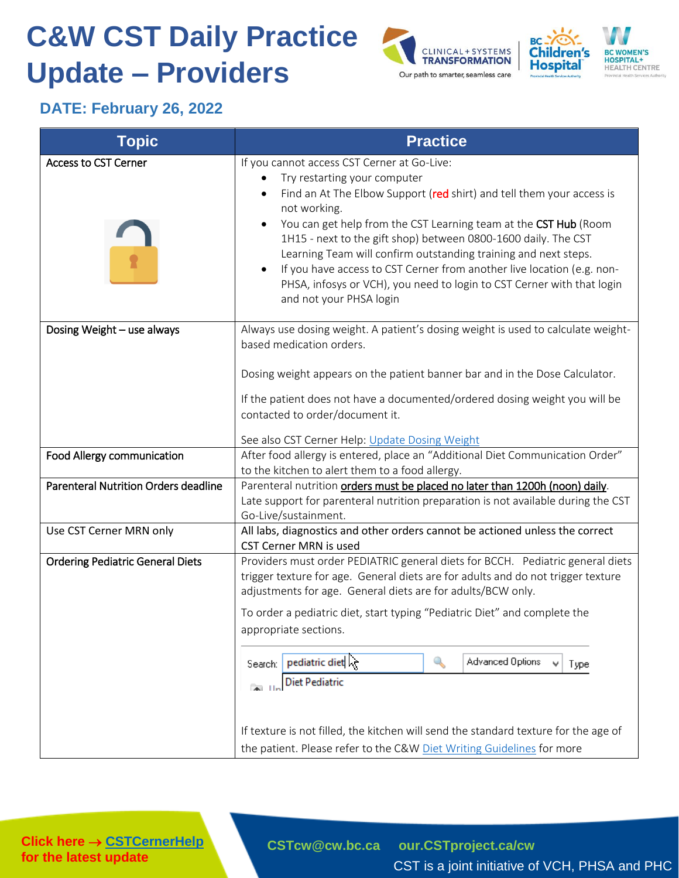## **C&W CST Daily Practice Update – Providers**





## **DATE: February 26, 2022**

| If you cannot access CST Cerner at Go-Live:<br>Try restarting your computer<br>Find an At The Elbow Support (red shirt) and tell them your access is<br>$\bullet$<br>not working.<br>You can get help from the CST Learning team at the CST Hub (Room<br>1H15 - next to the gift shop) between 0800-1600 daily. The CST<br>Learning Team will confirm outstanding training and next steps.<br>If you have access to CST Cerner from another live location (e.g. non-<br>PHSA, infosys or VCH), you need to login to CST Cerner with that login<br>and not your PHSA login                                                        |
|----------------------------------------------------------------------------------------------------------------------------------------------------------------------------------------------------------------------------------------------------------------------------------------------------------------------------------------------------------------------------------------------------------------------------------------------------------------------------------------------------------------------------------------------------------------------------------------------------------------------------------|
| Always use dosing weight. A patient's dosing weight is used to calculate weight-<br>based medication orders.<br>Dosing weight appears on the patient banner bar and in the Dose Calculator.<br>If the patient does not have a documented/ordered dosing weight you will be<br>contacted to order/document it.<br>See also CST Cerner Help: Update Dosing Weight                                                                                                                                                                                                                                                                  |
| After food allergy is entered, place an "Additional Diet Communication Order"<br>to the kitchen to alert them to a food allergy.                                                                                                                                                                                                                                                                                                                                                                                                                                                                                                 |
| Parenteral nutrition orders must be placed no later than 1200h (noon) daily.<br>Late support for parenteral nutrition preparation is not available during the CST<br>Go-Live/sustainment.                                                                                                                                                                                                                                                                                                                                                                                                                                        |
| All labs, diagnostics and other orders cannot be actioned unless the correct<br><b>CST Cerner MRN is used</b>                                                                                                                                                                                                                                                                                                                                                                                                                                                                                                                    |
| Providers must order PEDIATRIC general diets for BCCH. Pediatric general diets<br>trigger texture for age. General diets are for adults and do not trigger texture<br>adjustments for age. General diets are for adults/BCW only.<br>To order a pediatric diet, start typing "Pediatric Diet" and complete the<br>appropriate sections.<br>pediatric diet $\geq$<br>$\mathbb{Q}$<br>Advanced Options<br>Type:<br>Search:<br>v<br><b>Diet Pediatric</b><br>ALL In<br>If texture is not filled, the kitchen will send the standard texture for the age of<br>the patient. Please refer to the C&W Diet Writing Guidelines for more |
|                                                                                                                                                                                                                                                                                                                                                                                                                                                                                                                                                                                                                                  |